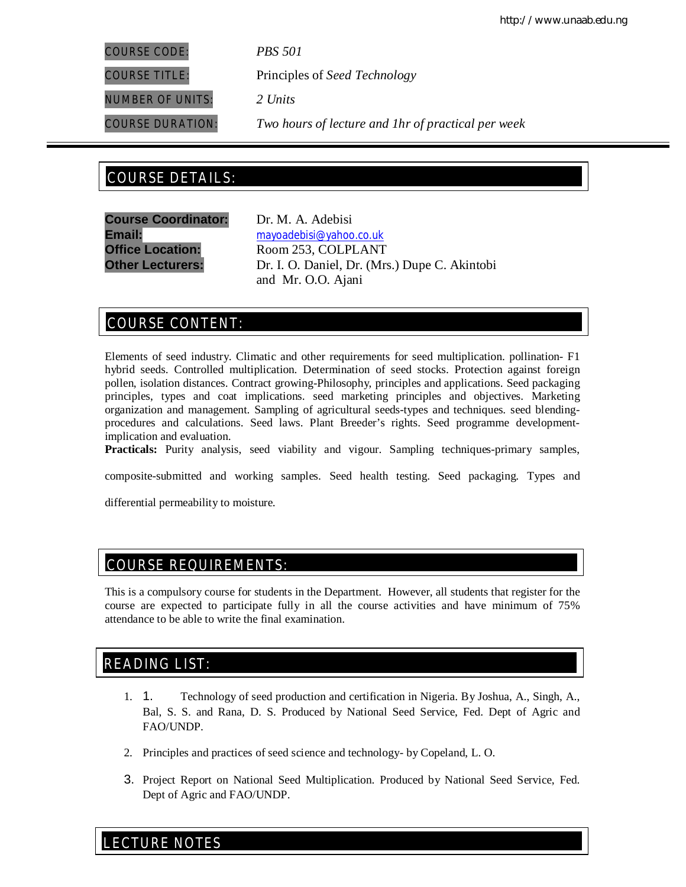COURSE CODE: *PBS 501*

COURSE TITLE: Principles of *Seed Technology*

NUMBER OF UNITS: *2 Units*

COURSE DURATION: *Two hours of lecture and 1hr of practical per week*

# COURSE DETAILS: COURSE DETAILS:

**Course Coordinator:** Dr. M. A. Adebisi

**Email:** mayoadebisi@yahoo.co.uk **Office Location:** Room 253, COLPLANT **Other Lecturers:** Dr. I. O. Daniel, Dr. (Mrs.) Dupe C. Akintobi and Mr. O.O. Ajani

# COURSE CONTENT:

Elements of seed industry. Climatic and other requirements for seed multiplication. pollination- F1 hybrid seeds. Controlled multiplication. Determination of seed stocks. Protection against foreign pollen, isolation distances. Contract growing-Philosophy, principles and applications. Seed packaging principles, types and coat implications. seed marketing principles and objectives. Marketing organization and management. Sampling of agricultural seeds-types and techniques. seed blendingprocedures and calculations. Seed laws. Plant Breeder's rights. Seed programme developmentimplication and evaluation.

**Practicals:** Purity analysis, seed viability and vigour. Sampling techniques-primary samples,

composite-submitted and working samples. Seed health testing. Seed packaging. Types and

differential permeability to moisture.

# COURSE REQUIREMENTS:

This is a compulsory course for students in the Department. However, all students that register for the course are expected to participate fully in all the course activities and have minimum of 75% attendance to be able to write the final examination.

# READING LIST:

- 1. 1. Technology of seed production and certification in Nigeria. By Joshua, A., Singh, A., Bal, S. S. and Rana, D. S. Produced by National Seed Service, Fed. Dept of Agric and FAO/UNDP.
- 2. Principles and practices of seed science and technology- by Copeland, L. O.
- 3. Project Report on National Seed Multiplication. Produced by National Seed Service, Fed. Dept of Agric and FAO/UNDP.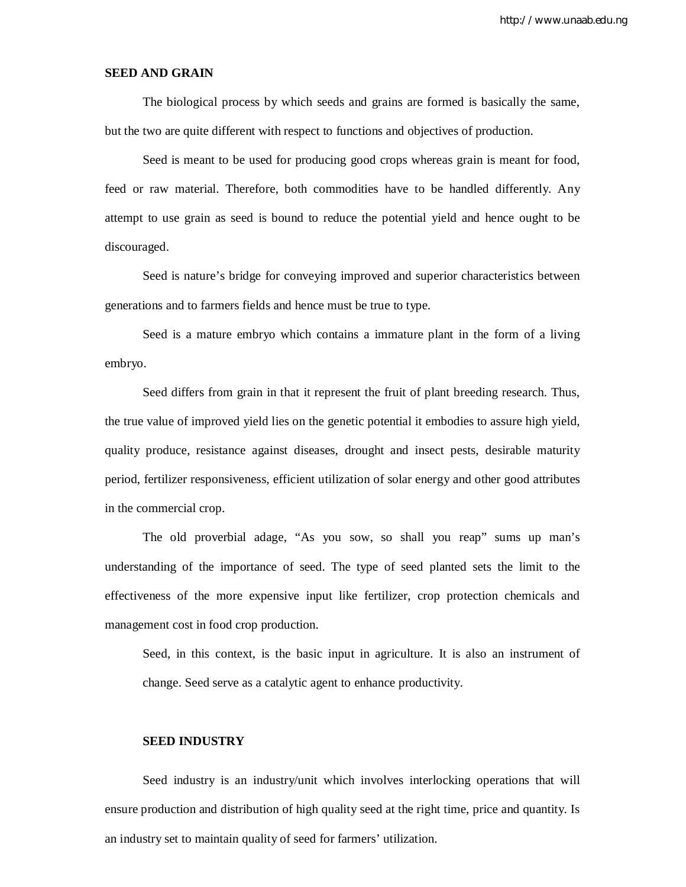http://www.unaab.edu.ng

# **SEED AND GRAIN**

The biological process by which seeds and grains are formed is basically the same, but the two are quite different with respect to functions and objectives of production.

Seed is meant to be used for producing good crops whereas grain is meant for food, feed or raw material. Therefore, both commodities have to be handled differently. Any attempt to use grain as seed is bound to reduce the potential yield and hence ought to be discouraged.

Seed is nature's bridge for conveying improved and superior characteristics between generations and to farmers fields and hence must be true to type.

Seed is a mature embryo which contains a immature plant in the form of a living embryo.

Seed differs from grain in that it represent the fruit of plant breeding research. Thus, the true value of improved yield lies on the genetic potential it embodies to assure high yield, quality produce, resistance against diseases, drought and insect pests, desirable maturity period, fertilizer responsiveness, efficient utilization of solar energy and other good attributes in the commercial crop.

The old proverbial adage, "As you sow, so shall you reap" sums up man's understanding of the importance of seed. The type of seed planted sets the limit to the effectiveness of the more expensive input like fertilizer, crop protection chemicals and management cost in food crop production.

Seed, in this context, is the basic input in agriculture. It is also an instrument of change. Seed serve as a catalytic agent to enhance productivity.

### **SEED INDUSTRY**

Seed industry is an industry/unit which involves interlocking operations that will ensure production and distribution of high quality seed at the right time, price and quantity. Is an industry set to maintain quality of seed for farmers' utilization.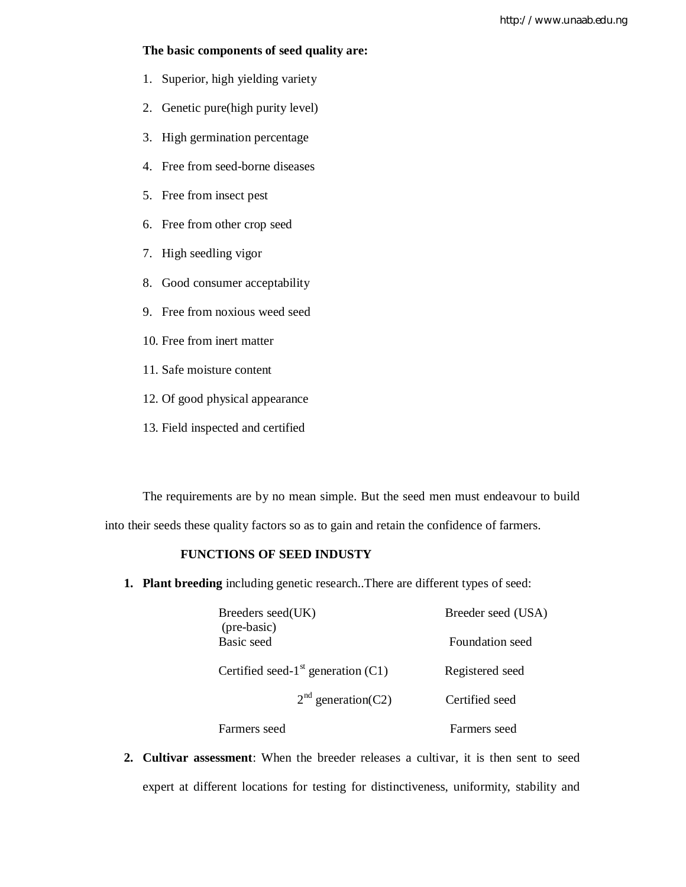# **The basic components of seed quality are:**

- 1. Superior, high yielding variety
- 2. Genetic pure(high purity level)
- 3. High germination percentage
- 4. Free from seed-borne diseases
- 5. Free from insect pest
- 6. Free from other crop seed
- 7. High seedling vigor
- 8. Good consumer acceptability
- 9. Free from noxious weed seed
- 10. Free from inert matter
- 11. Safe moisture content
- 12. Of good physical appearance
- 13. Field inspected and certified

The requirements are by no mean simple. But the seed men must endeavour to build into their seeds these quality factors so as to gain and retain the confidence of farmers.

# **FUNCTIONS OF SEED INDUSTY**

**1. Plant breeding** including genetic research..There are different types of seed:

| Breeders seed(UK)<br>(pre-basic)                 | Breeder seed (USA) |  |
|--------------------------------------------------|--------------------|--|
| Basic seed                                       | Foundation seed    |  |
| Certified seed-1 <sup>st</sup> generation $(C1)$ | Registered seed    |  |
| $2nd$ generation(C2)                             | Certified seed     |  |
| Farmers seed                                     | Farmers seed       |  |

**2. Cultivar assessment**: When the breeder releases a cultivar, it is then sent to seed expert at different locations for testing for distinctiveness, uniformity, stability and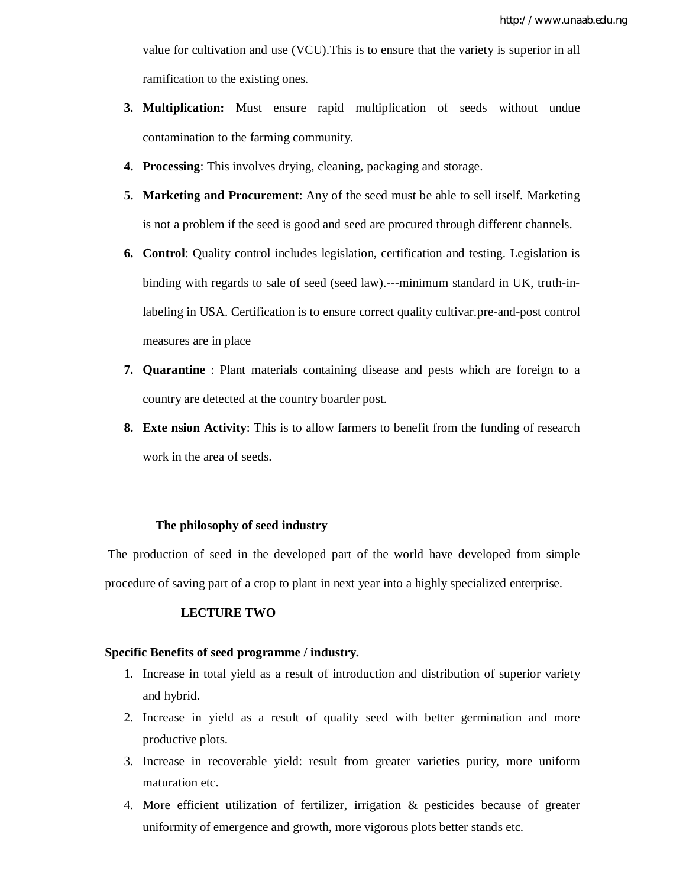value for cultivation and use (VCU).This is to ensure that the variety is superior in all ramification to the existing ones.

- **3. Multiplication:** Must ensure rapid multiplication of seeds without undue contamination to the farming community.
- **4. Processing**: This involves drying, cleaning, packaging and storage.
- **5. Marketing and Procurement**: Any of the seed must be able to sell itself. Marketing is not a problem if the seed is good and seed are procured through different channels.
- **6. Control**: Quality control includes legislation, certification and testing. Legislation is binding with regards to sale of seed (seed law).---minimum standard in UK, truth-inlabeling in USA. Certification is to ensure correct quality cultivar.pre-and-post control measures are in place
- **7. Quarantine** : Plant materials containing disease and pests which are foreign to a country are detected at the country boarder post.
- **8. Exte nsion Activity**: This is to allow farmers to benefit from the funding of research work in the area of seeds.

### **The philosophy of seed industry**

The production of seed in the developed part of the world have developed from simple procedure of saving part of a crop to plant in next year into a highly specialized enterprise.

# **LECTURE TWO**

# **Specific Benefits of seed programme / industry.**

- 1. Increase in total yield as a result of introduction and distribution of superior variety and hybrid.
- 2. Increase in yield as a result of quality seed with better germination and more productive plots.
- 3. Increase in recoverable yield: result from greater varieties purity, more uniform maturation etc.
- 4. More efficient utilization of fertilizer, irrigation & pesticides because of greater uniformity of emergence and growth, more vigorous plots better stands etc.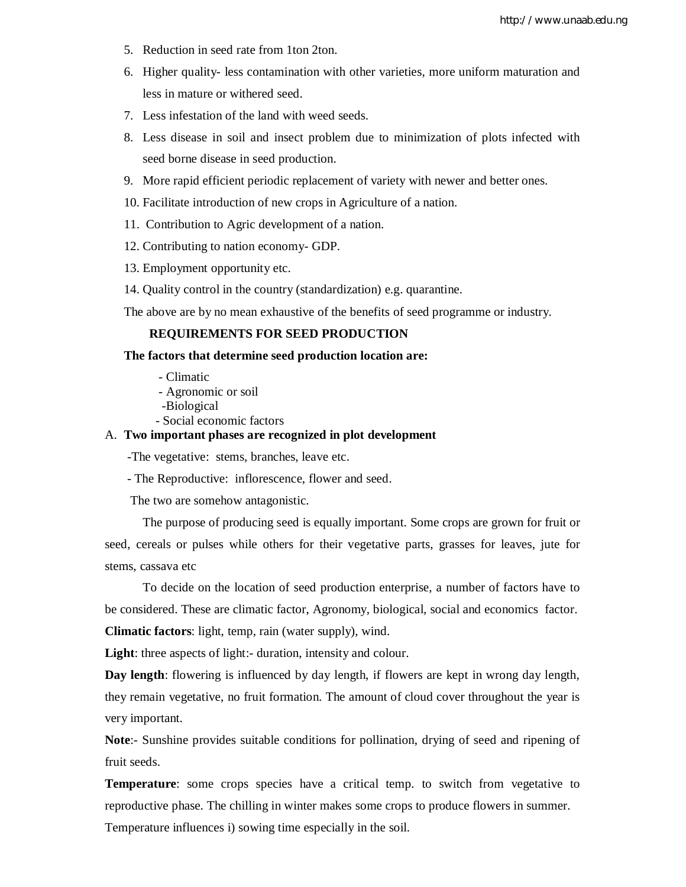- 5. Reduction in seed rate from 1ton 2ton.
- 6. Higher quality- less contamination with other varieties, more uniform maturation and less in mature or withered seed.
- 7. Less infestation of the land with weed seeds.
- 8. Less disease in soil and insect problem due to minimization of plots infected with seed borne disease in seed production.
- 9. More rapid efficient periodic replacement of variety with newer and better ones.
- 10. Facilitate introduction of new crops in Agriculture of a nation.
- 11. Contribution to Agric development of a nation.
- 12. Contributing to nation economy- GDP.
- 13. Employment opportunity etc.
- 14. Quality control in the country (standardization) e.g. quarantine.

The above are by no mean exhaustive of the benefits of seed programme or industry.

### **REQUIREMENTS FOR SEED PRODUCTION**

### **The factors that determine seed production location are:**

- Climatic
- Agronomic or soil
- -Biological
- Social economic factors

# A. **Two important phases are recognized in plot development**

-The vegetative: stems, branches, leave etc.

- The Reproductive: inflorescence, flower and seed.

The two are somehow antagonistic.

The purpose of producing seed is equally important. Some crops are grown for fruit or seed, cereals or pulses while others for their vegetative parts, grasses for leaves, jute for stems, cassava etc

To decide on the location of seed production enterprise, a number of factors have to be considered. These are climatic factor, Agronomy, biological, social and economics factor.

**Climatic factors**: light, temp, rain (water supply), wind.

Light: three aspects of light:- duration, intensity and colour.

**Day length**: flowering is influenced by day length, if flowers are kept in wrong day length, they remain vegetative, no fruit formation. The amount of cloud cover throughout the year is very important.

**Note**:- Sunshine provides suitable conditions for pollination, drying of seed and ripening of fruit seeds.

**Temperature**: some crops species have a critical temp. to switch from vegetative to reproductive phase. The chilling in winter makes some crops to produce flowers in summer. Temperature influences i) sowing time especially in the soil.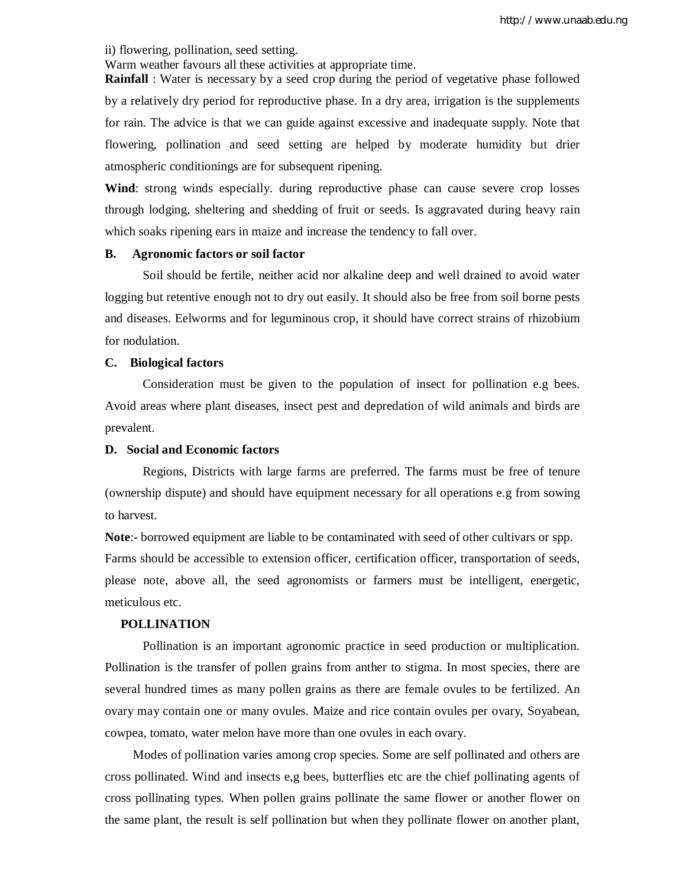ii) flowering, pollination, seed setting.

Warm weather favours all these activities at appropriate time.

**Rainfall** : Water is necessary by a seed crop during the period of vegetative phase followed by a relatively dry period for reproductive phase. In a dry area, irrigation is the supplements for rain. The advice is that we can guide against excessive and inadequate supply. Note that flowering, pollination and seed setting are helped by moderate humidity but drier atmospheric conditionings are for subsequent ripening.

**Wind**: strong winds especially. during reproductive phase can cause severe crop losses through lodging, sheltering and shedding of fruit or seeds. Is aggravated during heavy rain which soaks ripening ears in maize and increase the tendency to fall over.

#### **B. Agronomic factors or soil factor**

Soil should be fertile, neither acid nor alkaline deep and well drained to avoid water logging but retentive enough not to dry out easily. It should also be free from soil borne pests and diseases. Eelworms and for leguminous crop, it should have correct strains of rhizobium for nodulation.

### **C. Biological factors**

Consideration must be given to the population of insect for pollination e.g bees. Avoid areas where plant diseases, insect pest and depredation of wild animals and birds are prevalent.

### **D. Social and Economic factors**

Regions, Districts with large farms are preferred. The farms must be free of tenure (ownership dispute) and should have equipment necessary for all operations e.g from sowing to harvest.

**Note**:- borrowed equipment are liable to be contaminated with seed of other cultivars or spp. Farms should be accessible to extension officer, certification officer, transportation of seeds, please note, above all, the seed agronomists or farmers must be intelligent, energetic, meticulous etc.

### **POLLINATION**

Pollination is an important agronomic practice in seed production or multiplication. Pollination is the transfer of pollen grains from anther to stigma. In most species, there are several hundred times as many pollen grains as there are female ovules to be fertilized. An ovary may contain one or many ovules. Maize and rice contain ovules per ovary, Soyabean, cowpea, tomato, water melon have more than one ovules in each ovary.

 Modes of pollination varies among crop species. Some are self pollinated and others are cross pollinated. Wind and insects e,g bees, butterflies etc are the chief pollinating agents of cross pollinating types. When pollen grains pollinate the same flower or another flower on the same plant, the result is self pollination but when they pollinate flower on another plant,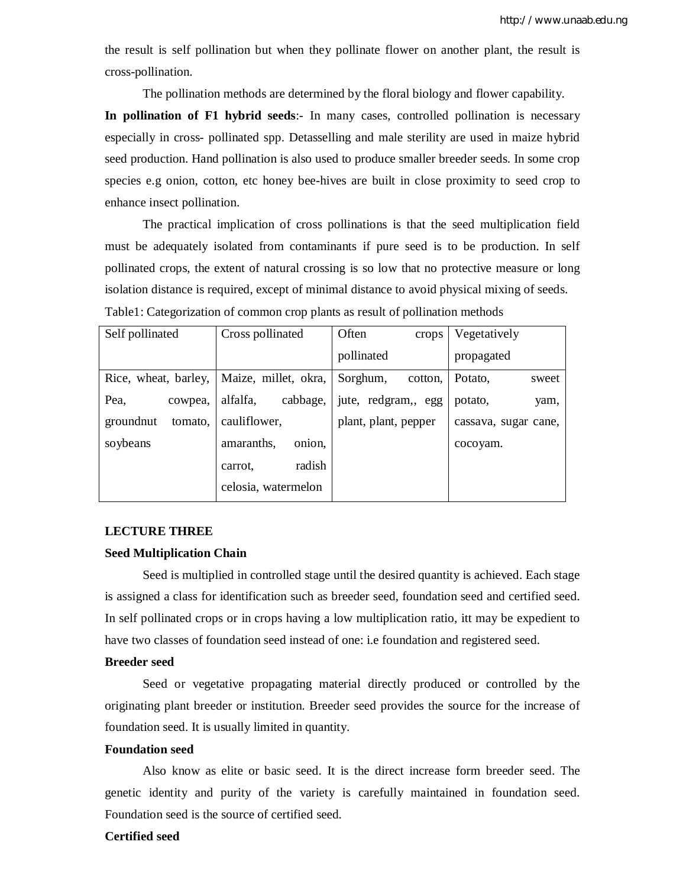the result is self pollination but when they pollinate flower on another plant, the result is cross-pollination.

The pollination methods are determined by the floral biology and flower capability.

**In pollination of F1 hybrid seeds**:- In many cases, controlled pollination is necessary especially in cross- pollinated spp. Detasselling and male sterility are used in maize hybrid seed production. Hand pollination is also used to produce smaller breeder seeds. In some crop species e.g onion, cotton, etc honey bee-hives are built in close proximity to seed crop to enhance insect pollination.

The practical implication of cross pollinations is that the seed multiplication field must be adequately isolated from contaminants if pure seed is to be production. In self pollinated crops, the extent of natural crossing is so low that no protective measure or long isolation distance is required, except of minimal distance to avoid physical mixing of seeds. Table1: Categorization of common crop plants as result of pollination methods

| Self pollinated      | Cross pollinated     | Often<br>crops       | Vegetatively         |
|----------------------|----------------------|----------------------|----------------------|
|                      |                      | pollinated           | propagated           |
| Rice, wheat, barley, | Maize, millet, okra, | Sorghum,<br>cotton.  | Potato,<br>sweet     |
| Pea,<br>cowpea,      | alfalfa,<br>cabbage, | jute, redgram,, egg  | potato,<br>yam,      |
| groundnut<br>tomato, | cauliflower,         | plant, plant, pepper | cassava, sugar cane, |
| soybeans             | amaranths,<br>onion. |                      | cocoyam.             |
|                      | radish<br>carrot.    |                      |                      |
|                      | celosia, watermelon  |                      |                      |

### **LECTURE THREE**

# **Seed Multiplication Chain**

Seed is multiplied in controlled stage until the desired quantity is achieved. Each stage is assigned a class for identification such as breeder seed, foundation seed and certified seed. In self pollinated crops or in crops having a low multiplication ratio, itt may be expedient to have two classes of foundation seed instead of one: i.e foundation and registered seed.

### **Breeder seed**

Seed or vegetative propagating material directly produced or controlled by the originating plant breeder or institution. Breeder seed provides the source for the increase of foundation seed. It is usually limited in quantity.

### **Foundation seed**

Also know as elite or basic seed. It is the direct increase form breeder seed. The genetic identity and purity of the variety is carefully maintained in foundation seed. Foundation seed is the source of certified seed.

### **Certified seed**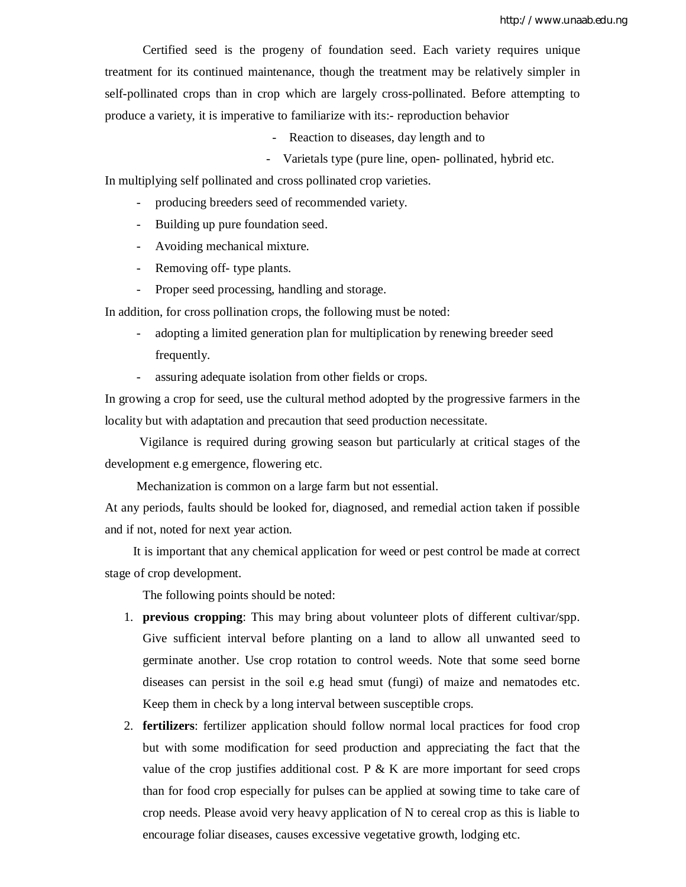http://www.unaab.edu.ng

Certified seed is the progeny of foundation seed. Each variety requires unique treatment for its continued maintenance, though the treatment may be relatively simpler in self-pollinated crops than in crop which are largely cross-pollinated. Before attempting to produce a variety, it is imperative to familiarize with its:- reproduction behavior

- Reaction to diseases, day length and to
- Varietals type (pure line, open- pollinated, hybrid etc.

In multiplying self pollinated and cross pollinated crop varieties.

- producing breeders seed of recommended variety.
- Building up pure foundation seed.
- Avoiding mechanical mixture.
- Removing off- type plants.
- Proper seed processing, handling and storage.

In addition, for cross pollination crops, the following must be noted:

- adopting a limited generation plan for multiplication by renewing breeder seed frequently.
- assuring adequate isolation from other fields or crops.

In growing a crop for seed, use the cultural method adopted by the progressive farmers in the locality but with adaptation and precaution that seed production necessitate.

 Vigilance is required during growing season but particularly at critical stages of the development e.g emergence, flowering etc.

Mechanization is common on a large farm but not essential.

At any periods, faults should be looked for, diagnosed, and remedial action taken if possible and if not, noted for next year action.

 It is important that any chemical application for weed or pest control be made at correct stage of crop development.

The following points should be noted:

- 1. **previous cropping**: This may bring about volunteer plots of different cultivar/spp. Give sufficient interval before planting on a land to allow all unwanted seed to germinate another. Use crop rotation to control weeds. Note that some seed borne diseases can persist in the soil e.g head smut (fungi) of maize and nematodes etc. Keep them in check by a long interval between susceptible crops.
- 2. **fertilizers**: fertilizer application should follow normal local practices for food crop but with some modification for seed production and appreciating the fact that the value of the crop justifies additional cost. P  $\&$  K are more important for seed crops than for food crop especially for pulses can be applied at sowing time to take care of crop needs. Please avoid very heavy application of N to cereal crop as this is liable to encourage foliar diseases, causes excessive vegetative growth, lodging etc.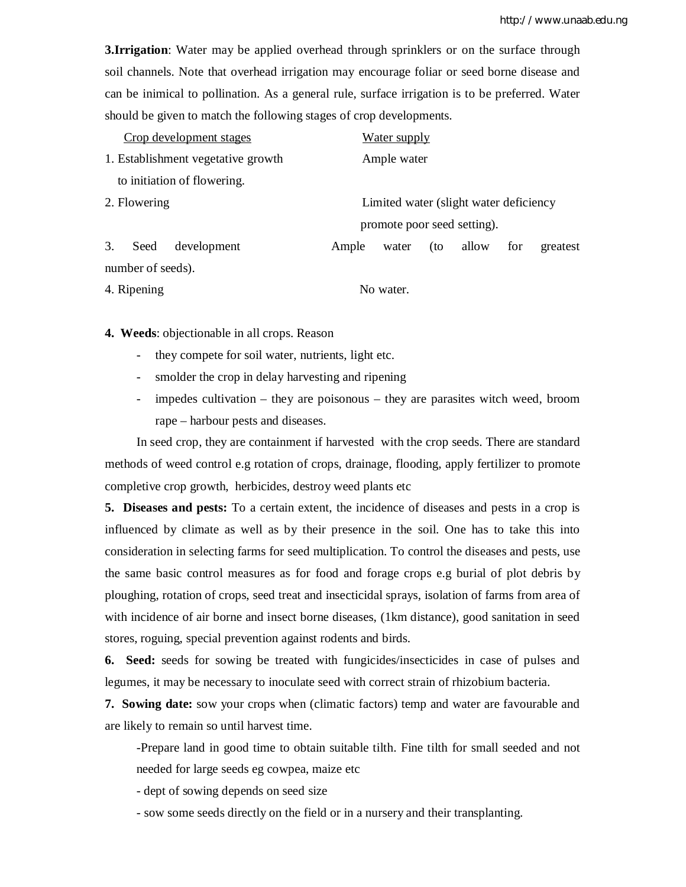**3.Irrigation**: Water may be applied overhead through sprinklers or on the surface through soil channels. Note that overhead irrigation may encourage foliar or seed borne disease and can be inimical to pollination. As a general rule, surface irrigation is to be preferred. Water should be given to match the following stages of crop developments.

| Crop development stages                                | <b>Water supply</b>                               |  |
|--------------------------------------------------------|---------------------------------------------------|--|
| 1. Establishment vegetative growth                     | Ample water                                       |  |
| to initiation of flowering.                            |                                                   |  |
| 2. Flowering<br>Limited water (slight water deficiency |                                                   |  |
|                                                        | promote poor seed setting).                       |  |
| 3.<br>development<br>Seed                              | allow<br>Ample<br>(to<br>for<br>water<br>greatest |  |
| number of seeds).                                      |                                                   |  |
| 4. Ripening                                            | No water.                                         |  |

**4. Weeds**: objectionable in all crops. Reason

- they compete for soil water, nutrients, light etc.
- smolder the crop in delay harvesting and ripening
- impedes cultivation they are poisonous they are parasites witch weed, broom rape – harbour pests and diseases.

In seed crop, they are containment if harvested with the crop seeds. There are standard methods of weed control e.g rotation of crops, drainage, flooding, apply fertilizer to promote completive crop growth, herbicides, destroy weed plants etc

**5. Diseases and pests:** To a certain extent, the incidence of diseases and pests in a crop is influenced by climate as well as by their presence in the soil. One has to take this into consideration in selecting farms for seed multiplication. To control the diseases and pests, use the same basic control measures as for food and forage crops e.g burial of plot debris by ploughing, rotation of crops, seed treat and insecticidal sprays, isolation of farms from area of with incidence of air borne and insect borne diseases, (1km distance), good sanitation in seed stores, roguing, special prevention against rodents and birds.

**6. Seed:** seeds for sowing be treated with fungicides/insecticides in case of pulses and legumes, it may be necessary to inoculate seed with correct strain of rhizobium bacteria.

**7. Sowing date:** sow your crops when (climatic factors) temp and water are favourable and are likely to remain so until harvest time.

-Prepare land in good time to obtain suitable tilth. Fine tilth for small seeded and not needed for large seeds eg cowpea, maize etc

- dept of sowing depends on seed size

- sow some seeds directly on the field or in a nursery and their transplanting.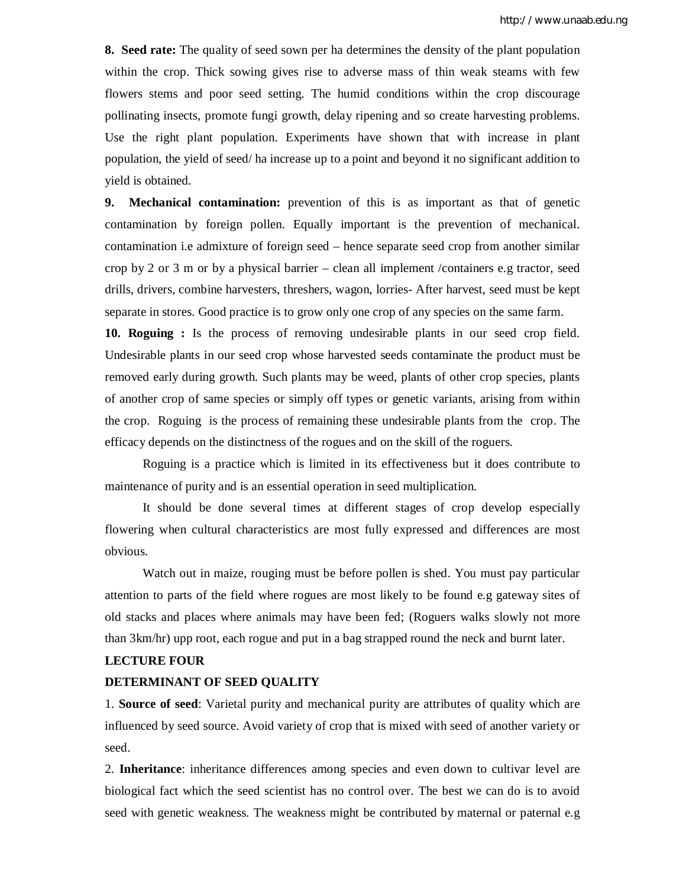**8. Seed rate:** The quality of seed sown per ha determines the density of the plant population within the crop. Thick sowing gives rise to adverse mass of thin weak steams with few flowers stems and poor seed setting. The humid conditions within the crop discourage pollinating insects, promote fungi growth, delay ripening and so create harvesting problems. Use the right plant population. Experiments have shown that with increase in plant population, the yield of seed/ ha increase up to a point and beyond it no significant addition to yield is obtained.

**9. Mechanical contamination:** prevention of this is as important as that of genetic contamination by foreign pollen. Equally important is the prevention of mechanical. contamination i.e admixture of foreign seed – hence separate seed crop from another similar crop by 2 or 3 m or by a physical barrier – clean all implement /containers e.g tractor, seed drills, drivers, combine harvesters, threshers, wagon, lorries- After harvest, seed must be kept separate in stores. Good practice is to grow only one crop of any species on the same farm.

**10. Roguing :** Is the process of removing undesirable plants in our seed crop field. Undesirable plants in our seed crop whose harvested seeds contaminate the product must be removed early during growth. Such plants may be weed, plants of other crop species, plants of another crop of same species or simply off types or genetic variants, arising from within the crop. Roguing is the process of remaining these undesirable plants from the crop. The efficacy depends on the distinctness of the rogues and on the skill of the roguers.

Roguing is a practice which is limited in its effectiveness but it does contribute to maintenance of purity and is an essential operation in seed multiplication.

It should be done several times at different stages of crop develop especially flowering when cultural characteristics are most fully expressed and differences are most obvious.

Watch out in maize, rouging must be before pollen is shed. You must pay particular attention to parts of the field where rogues are most likely to be found e.g gateway sites of old stacks and places where animals may have been fed; (Roguers walks slowly not more than 3km/hr) upp root, each rogue and put in a bag strapped round the neck and burnt later.

### **LECTURE FOUR**

### **DETERMINANT OF SEED QUALITY**

1. **Source of seed**: Varietal purity and mechanical purity are attributes of quality which are influenced by seed source. Avoid variety of crop that is mixed with seed of another variety or seed.

2. **Inheritance**: inheritance differences among species and even down to cultivar level are biological fact which the seed scientist has no control over. The best we can do is to avoid seed with genetic weakness. The weakness might be contributed by maternal or paternal e.g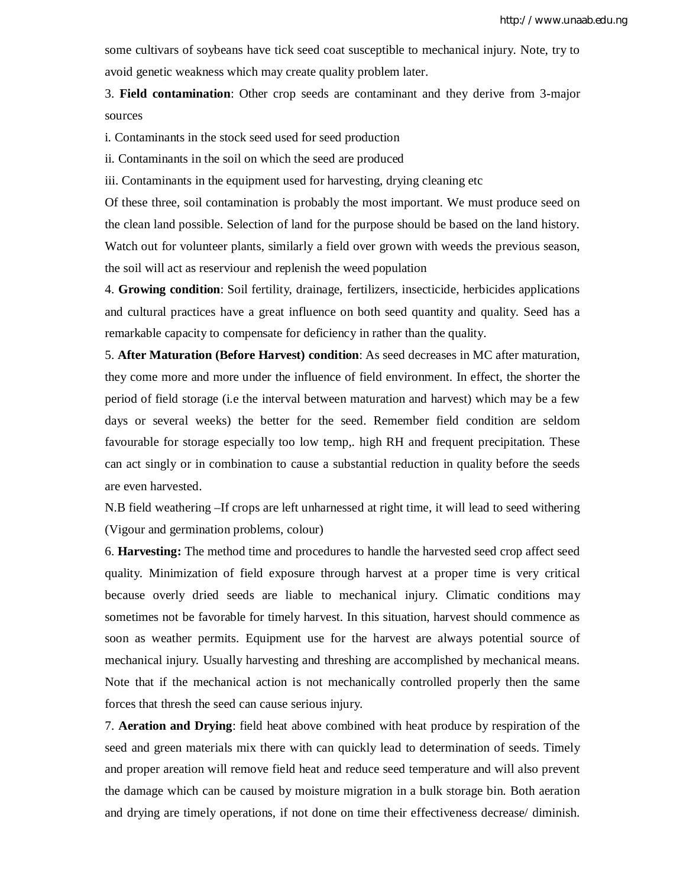some cultivars of soybeans have tick seed coat susceptible to mechanical injury. Note, try to avoid genetic weakness which may create quality problem later.

3. **Field contamination**: Other crop seeds are contaminant and they derive from 3-major sources

i. Contaminants in the stock seed used for seed production

ii. Contaminants in the soil on which the seed are produced

iii. Contaminants in the equipment used for harvesting, drying cleaning etc

Of these three, soil contamination is probably the most important. We must produce seed on the clean land possible. Selection of land for the purpose should be based on the land history. Watch out for volunteer plants, similarly a field over grown with weeds the previous season, the soil will act as reserviour and replenish the weed population

4. **Growing condition**: Soil fertility, drainage, fertilizers, insecticide, herbicides applications and cultural practices have a great influence on both seed quantity and quality. Seed has a remarkable capacity to compensate for deficiency in rather than the quality.

5. **After Maturation (Before Harvest) condition**: As seed decreases in MC after maturation, they come more and more under the influence of field environment. In effect, the shorter the period of field storage (i.e the interval between maturation and harvest) which may be a few days or several weeks) the better for the seed. Remember field condition are seldom favourable for storage especially too low temp,. high RH and frequent precipitation. These can act singly or in combination to cause a substantial reduction in quality before the seeds are even harvested.

N.B field weathering –If crops are left unharnessed at right time, it will lead to seed withering (Vigour and germination problems, colour)

6. **Harvesting:** The method time and procedures to handle the harvested seed crop affect seed quality. Minimization of field exposure through harvest at a proper time is very critical because overly dried seeds are liable to mechanical injury. Climatic conditions may sometimes not be favorable for timely harvest. In this situation, harvest should commence as soon as weather permits. Equipment use for the harvest are always potential source of mechanical injury. Usually harvesting and threshing are accomplished by mechanical means. Note that if the mechanical action is not mechanically controlled properly then the same forces that thresh the seed can cause serious injury.

7. **Aeration and Drying**: field heat above combined with heat produce by respiration of the seed and green materials mix there with can quickly lead to determination of seeds. Timely and proper areation will remove field heat and reduce seed temperature and will also prevent the damage which can be caused by moisture migration in a bulk storage bin. Both aeration and drying are timely operations, if not done on time their effectiveness decrease/ diminish.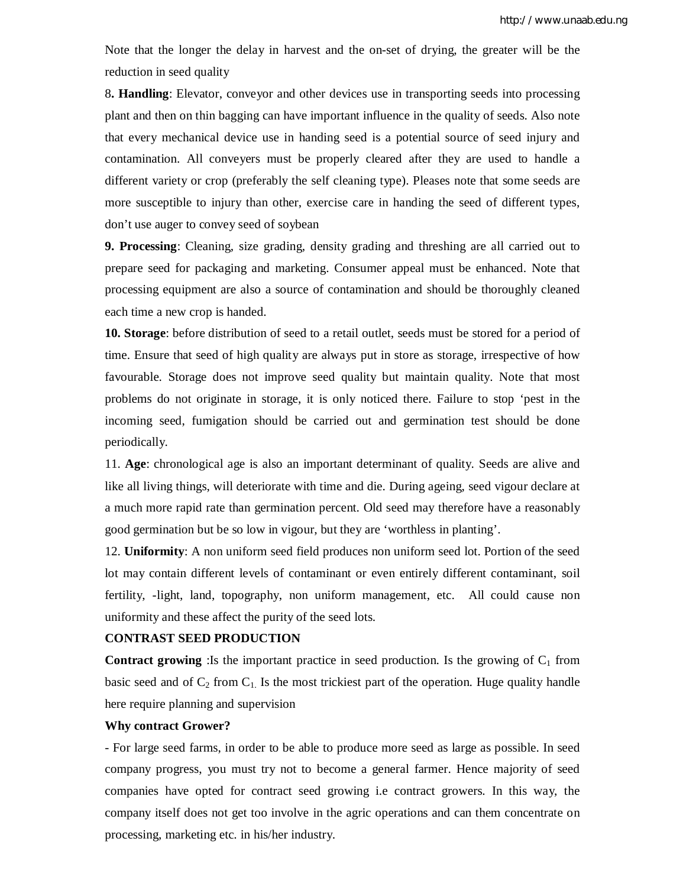Note that the longer the delay in harvest and the on-set of drying, the greater will be the reduction in seed quality

8**. Handling**: Elevator, conveyor and other devices use in transporting seeds into processing plant and then on thin bagging can have important influence in the quality of seeds. Also note that every mechanical device use in handing seed is a potential source of seed injury and contamination. All conveyers must be properly cleared after they are used to handle a different variety or crop (preferably the self cleaning type). Pleases note that some seeds are more susceptible to injury than other, exercise care in handing the seed of different types, don't use auger to convey seed of soybean

**9. Processing**: Cleaning, size grading, density grading and threshing are all carried out to prepare seed for packaging and marketing. Consumer appeal must be enhanced. Note that processing equipment are also a source of contamination and should be thoroughly cleaned each time a new crop is handed.

**10. Storage**: before distribution of seed to a retail outlet, seeds must be stored for a period of time. Ensure that seed of high quality are always put in store as storage, irrespective of how favourable. Storage does not improve seed quality but maintain quality. Note that most problems do not originate in storage, it is only noticed there. Failure to stop 'pest in the incoming seed, fumigation should be carried out and germination test should be done periodically.

11. **Age**: chronological age is also an important determinant of quality. Seeds are alive and like all living things, will deteriorate with time and die. During ageing, seed vigour declare at a much more rapid rate than germination percent. Old seed may therefore have a reasonably good germination but be so low in vigour, but they are 'worthless in planting'.

12. **Uniformity**: A non uniform seed field produces non uniform seed lot. Portion of the seed lot may contain different levels of contaminant or even entirely different contaminant, soil fertility, -light, land, topography, non uniform management, etc. All could cause non uniformity and these affect the purity of the seed lots.

#### **CONTRAST SEED PRODUCTION**

**Contract growing**: Is the important practice in seed production. Is the growing of  $C_1$  from basic seed and of  $C_2$  from  $C_1$ . Is the most trickiest part of the operation. Huge quality handle here require planning and supervision

### **Why contract Grower?**

- For large seed farms, in order to be able to produce more seed as large as possible. In seed company progress, you must try not to become a general farmer. Hence majority of seed companies have opted for contract seed growing i.e contract growers. In this way, the company itself does not get too involve in the agric operations and can them concentrate on processing, marketing etc. in his/her industry.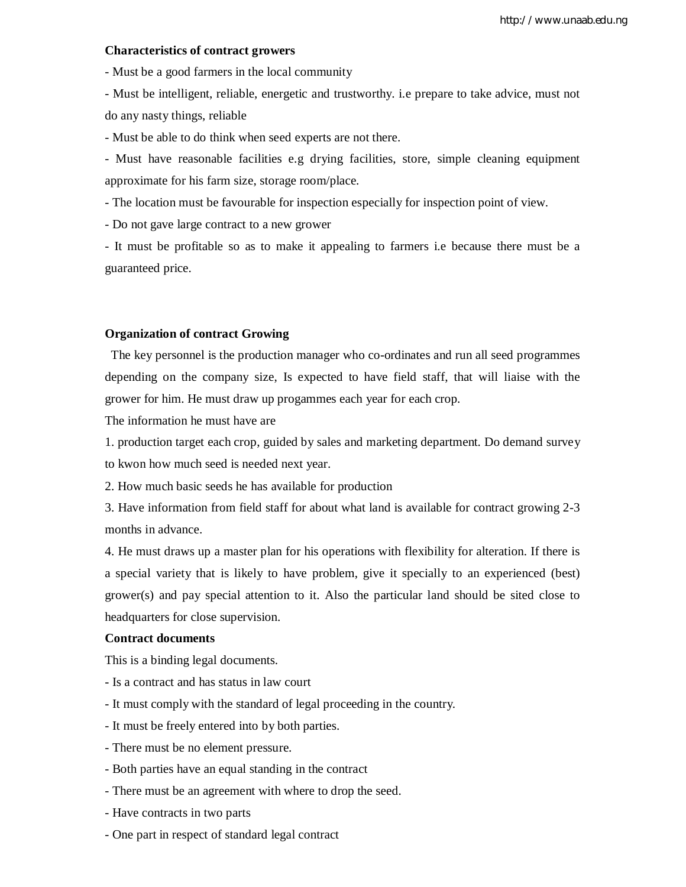### **Characteristics of contract growers**

- Must be a good farmers in the local community

- Must be intelligent, reliable, energetic and trustworthy. i.e prepare to take advice, must not do any nasty things, reliable

- Must be able to do think when seed experts are not there.

- Must have reasonable facilities e.g drying facilities, store, simple cleaning equipment approximate for his farm size, storage room/place.

- The location must be favourable for inspection especially for inspection point of view.

- Do not gave large contract to a new grower

- It must be profitable so as to make it appealing to farmers i.e because there must be a guaranteed price.

### **Organization of contract Growing**

 The key personnel is the production manager who co-ordinates and run all seed programmes depending on the company size, Is expected to have field staff, that will liaise with the grower for him. He must draw up progammes each year for each crop.

The information he must have are

1. production target each crop, guided by sales and marketing department. Do demand survey to kwon how much seed is needed next year.

2. How much basic seeds he has available for production

3. Have information from field staff for about what land is available for contract growing 2-3 months in advance.

4. He must draws up a master plan for his operations with flexibility for alteration. If there is a special variety that is likely to have problem, give it specially to an experienced (best)  $grower(s)$  and pay special attention to it. Also the particular land should be sited close to headquarters for close supervision.

### **Contract documents**

This is a binding legal documents.

- Is a contract and has status in law court
- It must comply with the standard of legal proceeding in the country.
- It must be freely entered into by both parties.
- There must be no element pressure.
- Both parties have an equal standing in the contract
- There must be an agreement with where to drop the seed.
- Have contracts in two parts
- One part in respect of standard legal contract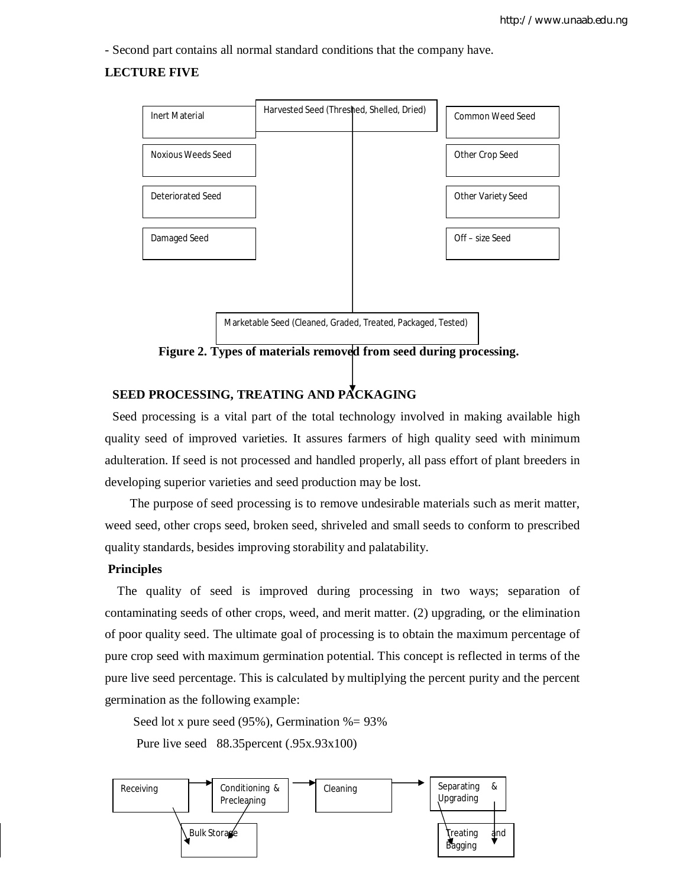- Second part contains all normal standard conditions that the company have.

# **LECTURE FIVE**



 **Figure 2. Types of materials removed from seed during processing.**

# **SEED PROCESSING, TREATING AND PACKAGING**

Seed processing is a vital part of the total technology involved in making available high quality seed of improved varieties. It assures farmers of high quality seed with minimum adulteration. If seed is not processed and handled properly, all pass effort of plant breeders in developing superior varieties and seed production may be lost.

 The purpose of seed processing is to remove undesirable materials such as merit matter, weed seed, other crops seed, broken seed, shriveled and small seeds to conform to prescribed quality standards, besides improving storability and palatability.

# **Principles**

 The quality of seed is improved during processing in two ways; separation of contaminating seeds of other crops, weed, and merit matter. (2) upgrading, or the elimination of poor quality seed. The ultimate goal of processing is to obtain the maximum percentage of pure crop seed with maximum germination potential. This concept is reflected in terms of the pure live seed percentage. This is calculated by multiplying the percent purity and the percent germination as the following example:

Seed lot x pure seed (95%), Germination %= 93%

Pure live seed 88.35percent (.95x.93x100)

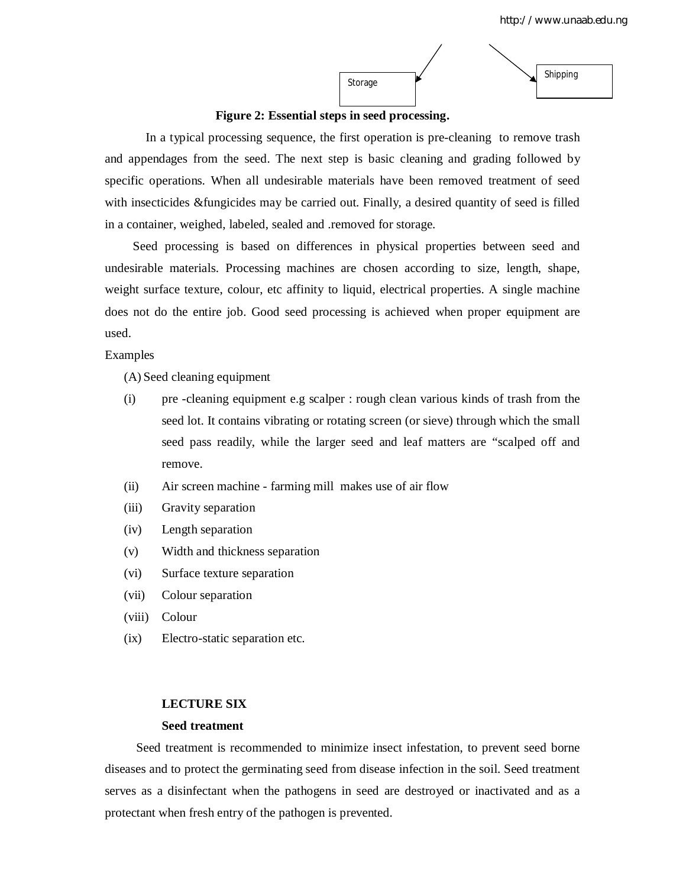

**Figure 2: Essential steps in seed processing.**

In a typical processing sequence, the first operation is pre-cleaning to remove trash and appendages from the seed. The next step is basic cleaning and grading followed by specific operations. When all undesirable materials have been removed treatment of seed with insecticides &fungicides may be carried out. Finally, a desired quantity of seed is filled in a container, weighed, labeled, sealed and .removed for storage.

 Seed processing is based on differences in physical properties between seed and undesirable materials. Processing machines are chosen according to size, length, shape, weight surface texture, colour, etc affinity to liquid, electrical properties. A single machine does not do the entire job. Good seed processing is achieved when proper equipment are used.

Examples

(A) Seed cleaning equipment

- (i) pre -cleaning equipment e.g scalper : rough clean various kinds of trash from the seed lot. It contains vibrating or rotating screen (or sieve) through which the small seed pass readily, while the larger seed and leaf matters are "scalped off and remove.
- (ii) Air screen machine farming mill makes use of air flow
- (iii) Gravity separation
- (iv) Length separation
- (v) Width and thickness separation
- (vi) Surface texture separation
- (vii) Colour separation
- (viii) Colour
- (ix) Electro-static separation etc.

### **LECTURE SIX**

### **Seed treatment**

 Seed treatment is recommended to minimize insect infestation, to prevent seed borne diseases and to protect the germinating seed from disease infection in the soil. Seed treatment serves as a disinfectant when the pathogens in seed are destroyed or inactivated and as a protectant when fresh entry of the pathogen is prevented.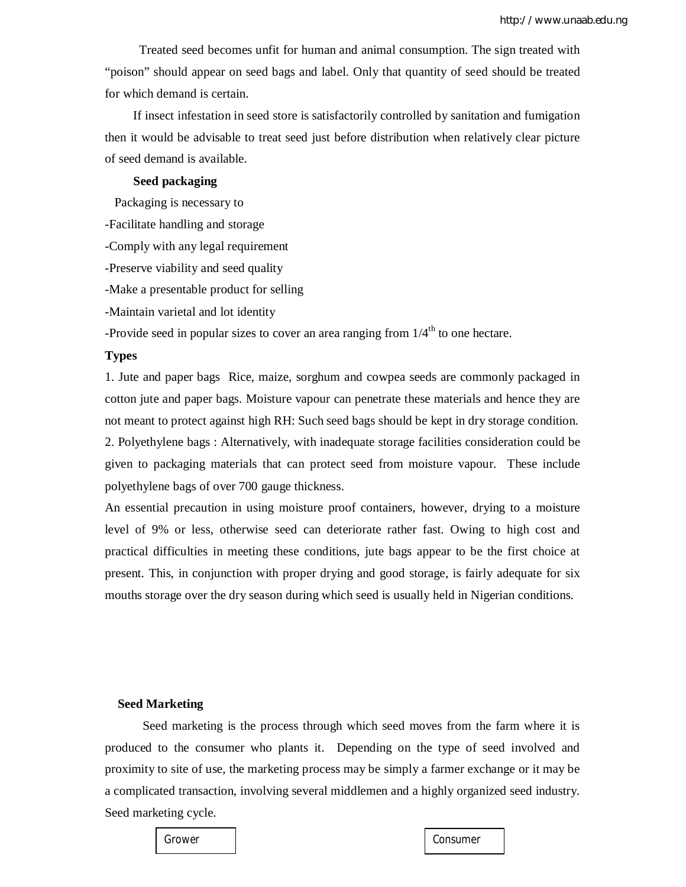Treated seed becomes unfit for human and animal consumption. The sign treated with "poison" should appear on seed bags and label. Only that quantity of seed should be treated for which demand is certain.

 If insect infestation in seed store is satisfactorily controlled by sanitation and fumigation then it would be advisable to treat seed just before distribution when relatively clear picture of seed demand is available.

### **Seed packaging**

Packaging is necessary to

-Facilitate handling and storage

-Comply with any legal requirement

-Preserve viability and seed quality

-Make a presentable product for selling

-Maintain varietal and lot identity

-Provide seed in popular sizes to cover an area ranging from  $1/4<sup>th</sup>$  to one hectare.

### **Types**

1. Jute and paper bags Rice, maize, sorghum and cowpea seeds are commonly packaged in cotton jute and paper bags. Moisture vapour can penetrate these materials and hence they are not meant to protect against high RH: Such seed bags should be kept in dry storage condition. 2. Polyethylene bags : Alternatively, with inadequate storage facilities consideration could be given to packaging materials that can protect seed from moisture vapour. These include polyethylene bags of over 700 gauge thickness.

An essential precaution in using moisture proof containers, however, drying to a moisture level of 9% or less, otherwise seed can deteriorate rather fast. Owing to high cost and practical difficulties in meeting these conditions, jute bags appear to be the first choice at present. This, in conjunction with proper drying and good storage, is fairly adequate for six mouths storage over the dry season during which seed is usually held in Nigerian conditions.

# **Seed Marketing**

Seed marketing is the process through which seed moves from the farm where it is produced to the consumer who plants it. Depending on the type of seed involved and proximity to site of use, the marketing process may be simply a farmer exchange or it may be a complicated transaction, involving several middlemen and a highly organized seed industry. Seed marketing cycle.

Grower I Consumer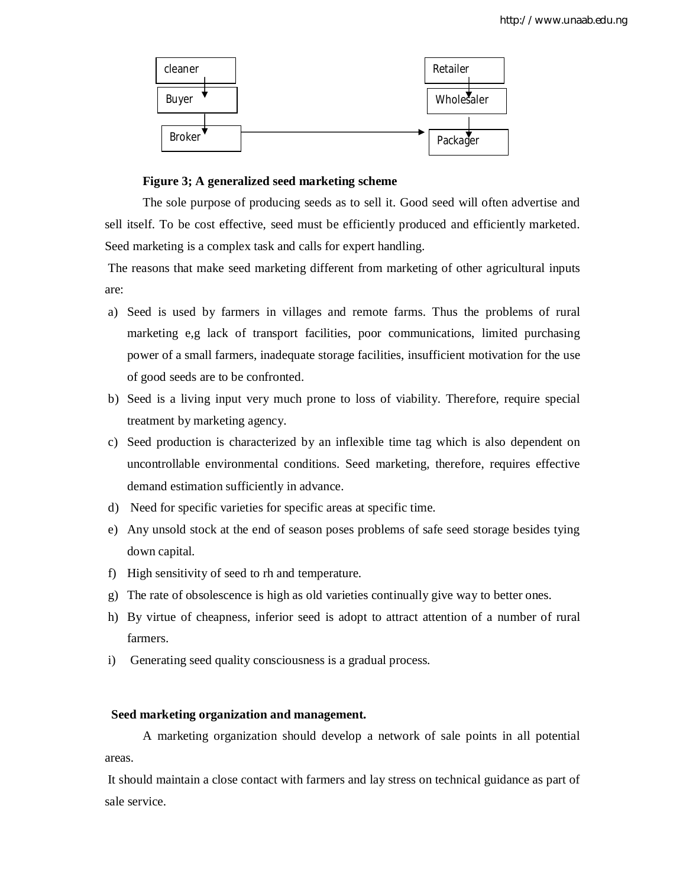

### **Figure 3; A generalized seed marketing scheme**

The sole purpose of producing seeds as to sell it. Good seed will often advertise and sell itself. To be cost effective, seed must be efficiently produced and efficiently marketed. Seed marketing is a complex task and calls for expert handling.

The reasons that make seed marketing different from marketing of other agricultural inputs are:

- a) Seed is used by farmers in villages and remote farms. Thus the problems of rural marketing e,g lack of transport facilities, poor communications, limited purchasing power of a small farmers, inadequate storage facilities, insufficient motivation for the use of good seeds are to be confronted.
- b) Seed is a living input very much prone to loss of viability. Therefore, require special treatment by marketing agency.
- c) Seed production is characterized by an inflexible time tag which is also dependent on uncontrollable environmental conditions. Seed marketing, therefore, requires effective demand estimation sufficiently in advance.
- d) Need for specific varieties for specific areas at specific time.
- e) Any unsold stock at the end of season poses problems of safe seed storage besides tying down capital.
- f) High sensitivity of seed to rh and temperature.
- g) The rate of obsolescence is high as old varieties continually give way to better ones.
- h) By virtue of cheapness, inferior seed is adopt to attract attention of a number of rural farmers.
- i) Generating seed quality consciousness is a gradual process.

# **Seed marketing organization and management.**

A marketing organization should develop a network of sale points in all potential areas.

It should maintain a close contact with farmers and lay stress on technical guidance as part of sale service.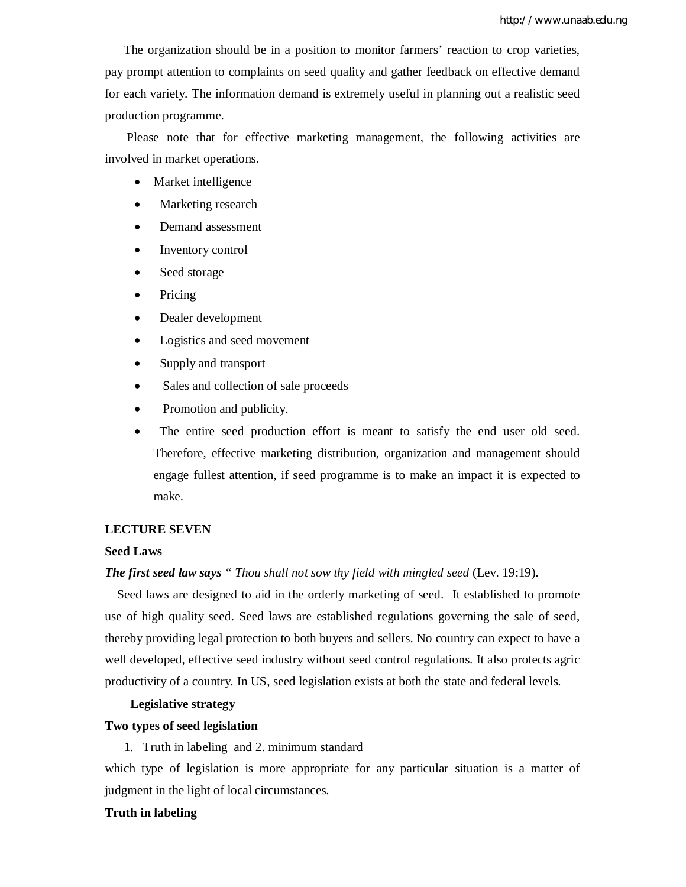The organization should be in a position to monitor farmers' reaction to crop varieties, pay prompt attention to complaints on seed quality and gather feedback on effective demand for each variety. The information demand is extremely useful in planning out a realistic seed production programme.

 Please note that for effective marketing management, the following activities are involved in market operations.

- Market intelligence
- Marketing research
- Demand assessment
- Inventory control
- Seed storage
- Pricing
- Dealer development
- Logistics and seed movement
- Supply and transport
- Sales and collection of sale proceeds
- Promotion and publicity.
- The entire seed production effort is meant to satisfy the end user old seed. Therefore, effective marketing distribution, organization and management should engage fullest attention, if seed programme is to make an impact it is expected to make.

# **LECTURE SEVEN**

# **Seed Laws**

# *The first seed law says " Thou shall not sow thy field with mingled seed* (Lev. 19:19).

 Seed laws are designed to aid in the orderly marketing of seed. It established to promote use of high quality seed. Seed laws are established regulations governing the sale of seed, thereby providing legal protection to both buyers and sellers. No country can expect to have a well developed, effective seed industry without seed control regulations. It also protects agric productivity of a country. In US, seed legislation exists at both the state and federal levels.

# **Legislative strategy**

### **Two types of seed legislation**

1. Truth in labeling and 2. minimum standard

which type of legislation is more appropriate for any particular situation is a matter of judgment in the light of local circumstances.

# **Truth in labeling**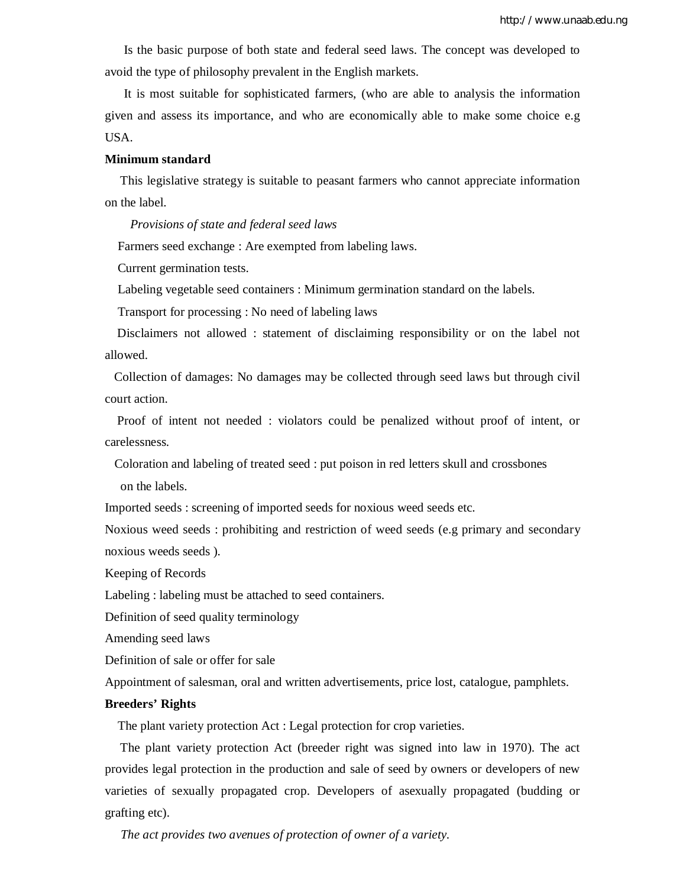Is the basic purpose of both state and federal seed laws. The concept was developed to avoid the type of philosophy prevalent in the English markets.

 It is most suitable for sophisticated farmers, (who are able to analysis the information given and assess its importance, and who are economically able to make some choice e.g USA.

### **Minimum standard**

 This legislative strategy is suitable to peasant farmers who cannot appreciate information on the label.

*Provisions of state and federal seed laws* 

Farmers seed exchange : Are exempted from labeling laws.

Current germination tests.

Labeling vegetable seed containers : Minimum germination standard on the labels.

Transport for processing : No need of labeling laws

 Disclaimers not allowed : statement of disclaiming responsibility or on the label not allowed.

 Collection of damages: No damages may be collected through seed laws but through civil court action.

 Proof of intent not needed : violators could be penalized without proof of intent, or carelessness.

Coloration and labeling of treated seed : put poison in red letters skull and crossbones

on the labels.

Imported seeds : screening of imported seeds for noxious weed seeds etc.

Noxious weed seeds : prohibiting and restriction of weed seeds (e.g primary and secondary noxious weeds seeds ).

Keeping of Records

Labeling : labeling must be attached to seed containers.

Definition of seed quality terminology

Amending seed laws

Definition of sale or offer for sale

Appointment of salesman, oral and written advertisements, price lost, catalogue, pamphlets.

### **Breeders' Rights**

The plant variety protection Act : Legal protection for crop varieties.

 The plant variety protection Act (breeder right was signed into law in 1970). The act provides legal protection in the production and sale of seed by owners or developers of new varieties of sexually propagated crop. Developers of asexually propagated (budding or grafting etc).

*The act provides two avenues of protection of owner of a variety.*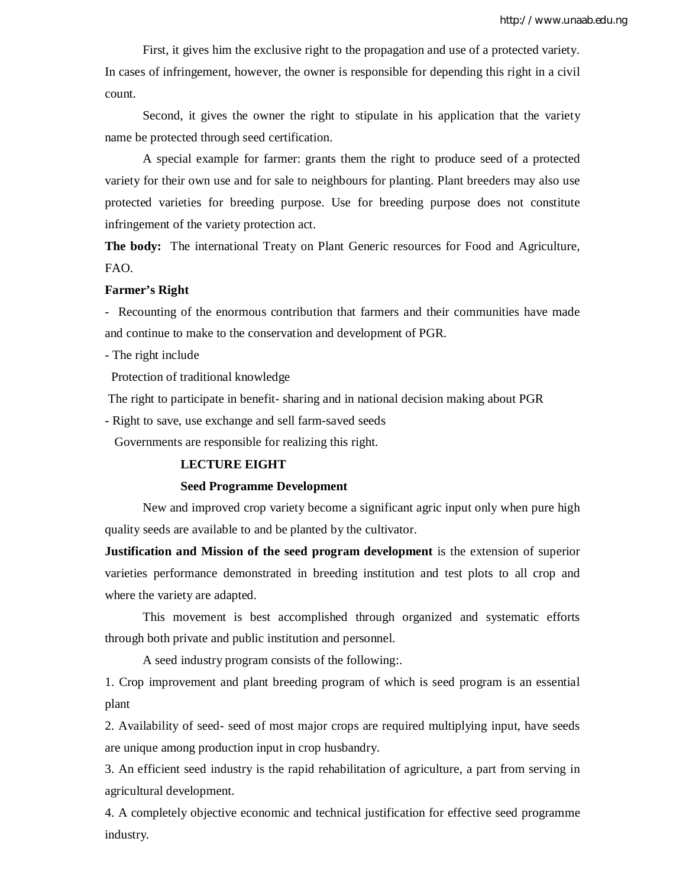First, it gives him the exclusive right to the propagation and use of a protected variety. In cases of infringement, however, the owner is responsible for depending this right in a civil count.

Second, it gives the owner the right to stipulate in his application that the variety name be protected through seed certification.

A special example for farmer: grants them the right to produce seed of a protected variety for their own use and for sale to neighbours for planting. Plant breeders may also use protected varieties for breeding purpose. Use for breeding purpose does not constitute infringement of the variety protection act.

**The body:** The international Treaty on Plant Generic resources for Food and Agriculture, FAO.

### **Farmer's Right**

- Recounting of the enormous contribution that farmers and their communities have made and continue to make to the conservation and development of PGR.

- The right include

Protection of traditional knowledge

The right to participate in benefit- sharing and in national decision making about PGR

- Right to save, use exchange and sell farm-saved seeds

Governments are responsible for realizing this right.

# **LECTURE EIGHT**

### **Seed Programme Development**

New and improved crop variety become a significant agric input only when pure high quality seeds are available to and be planted by the cultivator.

**Justification and Mission of the seed program development** is the extension of superior varieties performance demonstrated in breeding institution and test plots to all crop and where the variety are adapted.

This movement is best accomplished through organized and systematic efforts through both private and public institution and personnel.

A seed industry program consists of the following:.

1. Crop improvement and plant breeding program of which is seed program is an essential plant

2. Availability of seed- seed of most major crops are required multiplying input, have seeds are unique among production input in crop husbandry.

3. An efficient seed industry is the rapid rehabilitation of agriculture, a part from serving in agricultural development.

4. A completely objective economic and technical justification for effective seed programme industry.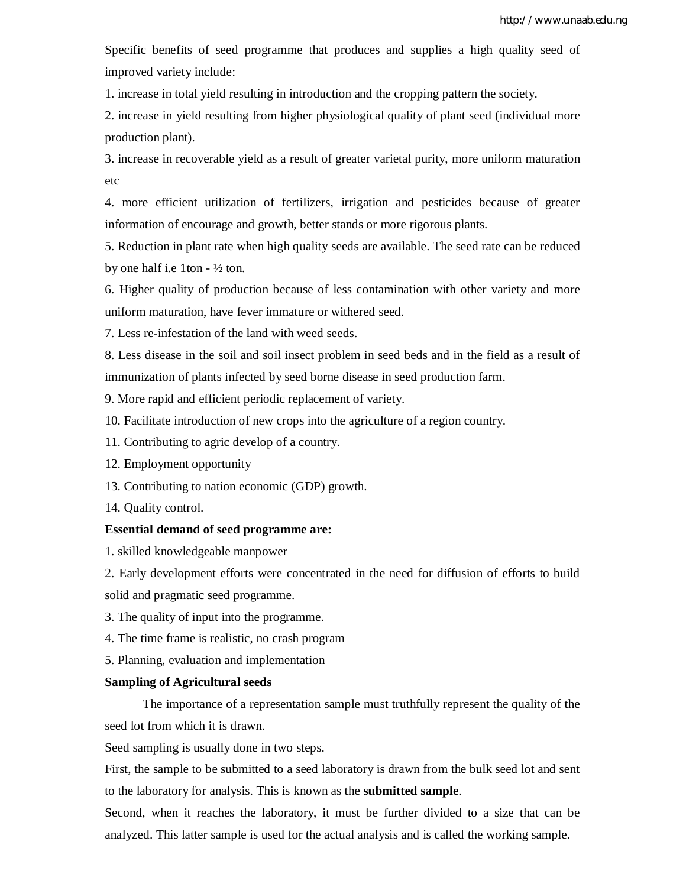Specific benefits of seed programme that produces and supplies a high quality seed of improved variety include:

1. increase in total yield resulting in introduction and the cropping pattern the society.

2. increase in yield resulting from higher physiological quality of plant seed (individual more production plant).

3. increase in recoverable yield as a result of greater varietal purity, more uniform maturation etc

4. more efficient utilization of fertilizers, irrigation and pesticides because of greater information of encourage and growth, better stands or more rigorous plants.

5. Reduction in plant rate when high quality seeds are available. The seed rate can be reduced by one half i.e 1ton  $- \frac{1}{2}$  ton.

6. Higher quality of production because of less contamination with other variety and more uniform maturation, have fever immature or withered seed.

7. Less re-infestation of the land with weed seeds.

8. Less disease in the soil and soil insect problem in seed beds and in the field as a result of immunization of plants infected by seed borne disease in seed production farm.

9. More rapid and efficient periodic replacement of variety.

10. Facilitate introduction of new crops into the agriculture of a region country.

11. Contributing to agric develop of a country.

12. Employment opportunity

13. Contributing to nation economic (GDP) growth.

14. Quality control.

### **Essential demand of seed programme are:**

1. skilled knowledgeable manpower

2. Early development efforts were concentrated in the need for diffusion of efforts to build solid and pragmatic seed programme.

- 3. The quality of input into the programme.
- 4. The time frame is realistic, no crash program
- 5. Planning, evaluation and implementation

### **Sampling of Agricultural seeds**

The importance of a representation sample must truthfully represent the quality of the seed lot from which it is drawn.

Seed sampling is usually done in two steps.

First, the sample to be submitted to a seed laboratory is drawn from the bulk seed lot and sent to the laboratory for analysis. This is known as the **submitted sample**.

Second, when it reaches the laboratory, it must be further divided to a size that can be analyzed. This latter sample is used for the actual analysis and is called the working sample.